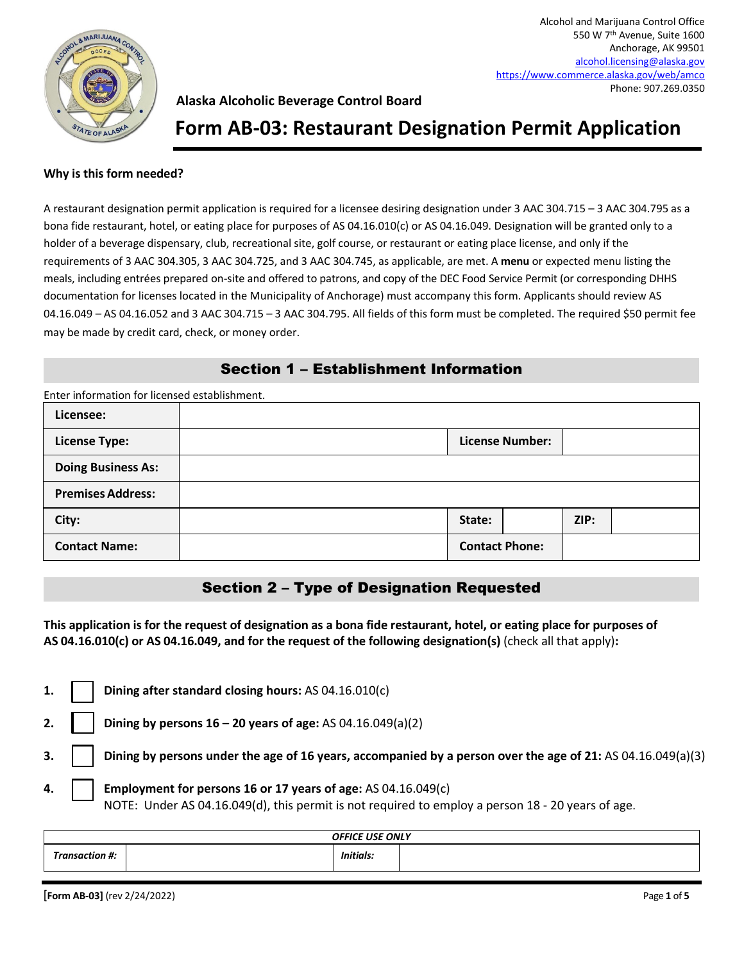

# **Form AB-03: Restaurant Designation Permit Application**

### **Why is this form needed?**

A restaurant designation permit application is required for a licensee desiring designation under 3 AAC 304.715 – 3 AAC 304.795 as a bona fide restaurant, hotel, or eating place for purposes of AS 04.16.010(c) or AS 04.16.049. Designation will be granted only to a holder of a beverage dispensary, club, recreational site, golf course, or restaurant or eating place license, and only if the requirements of 3 AAC 304.305, 3 AAC 304.725, and 3 AAC 304.745, as applicable, are met. A **menu** or expected menu listing the meals, including entrées prepared on-site and offered to patrons, and copy of the DEC Food Service Permit (or corresponding DHHS documentation for licenses located in the Municipality of Anchorage) must accompany this form. Applicants should review AS 04.16.049 – AS 04.16.052 and 3 AAC 304.715 – 3 AAC 304.795. All fields of this form must be completed. The required \$50 permit fee may be made by credit card, check, or money order.

## Section 1 – Establishment Information

| Enter information for licensed establishment. |                       |                        |      |  |
|-----------------------------------------------|-----------------------|------------------------|------|--|
| Licensee:                                     |                       |                        |      |  |
| <b>License Type:</b>                          |                       | <b>License Number:</b> |      |  |
| <b>Doing Business As:</b>                     |                       |                        |      |  |
| <b>Premises Address:</b>                      |                       |                        |      |  |
| City:                                         | State:                |                        | ZIP: |  |
| <b>Contact Name:</b>                          | <b>Contact Phone:</b> |                        |      |  |

## Section 2 – Type of Designation Requested

**This application is for the request of designation as a bona fide restaurant, hotel, or eating place for purposes of AS 04.16.010(c) or AS 04.16.049, and for the request of the following designation(s)** (check all that apply)**:** 

|  | 1. $\Box$ Dining after standard closing hours: AS 04.16.010(c)                                                                                                                  |
|--|---------------------------------------------------------------------------------------------------------------------------------------------------------------------------------|
|  | 2.     Dining by persons $16 - 20$ years of age: AS 04.16.049(a)(2)                                                                                                             |
|  | 3. $\vert$ $\vert$ Dining by persons under the age of 16 years, accompanied by a person over the age of 21: AS 04.16.049(a)(3)                                                  |
|  | 4. $\vert$   Employment for persons 16 or 17 years of age: AS 04.16.049(c)<br>NOTE: Under AS 04.16.049(d), this permit is not required to employ a person 18 - 20 years of age. |

|   | <b>OFFICE USE ONLY</b> |  |                  |  |
|---|------------------------|--|------------------|--|
| - | Transaction #:         |  | <b>Initials:</b> |  |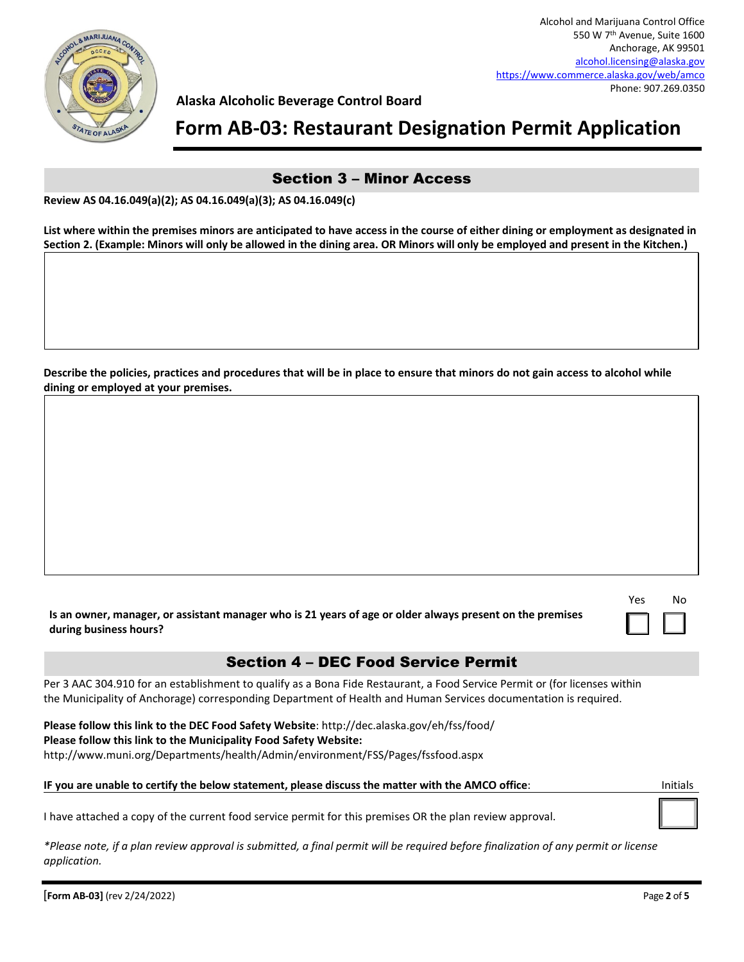

# **Form AB-03: Restaurant Designation Permit Application**

### Section 3 – Minor Access

**List where within the premises minors are anticipated to have access in the course of either dining or employment as designated in Section 2. (Example: Minors will only be allowed in the dining area. OR Minors will only be employed and present in the Kitchen.)** 

**Describe the policies, practices and procedures that will be in place to ensure that minors do not gain access to alcohol while dining or employed at your premises.** 

| es | No |
|----|----|
|    |    |

**Is an owner, manager, or assistant manager who is 21 years of age or older always present on the premises during business hours?** 

## Section 4 – DEC Food Service Permit

Per 3 AAC 304.910 for an establishment to qualify as a Bona Fide Restaurant, a Food Service Permit or (for licenses within the Municipality of Anchorage) corresponding Department of Health and Human Services documentation is required.

**Please follow this link to the DEC Food Safety Website**: http://dec.alaska.gov/eh/fss/food/ **Please follow this link to the Municipality Food Safety Website:** http://www.muni.org/Departments/health/Admin/environment/FSS/Pages/fssfood.aspx

#### **IF you are unable to certify the below statement, please discuss the matter with the AMCO office**: Initials

I have attached a copy of the current food service permit for this premises OR the plan review approval.

*\*Please note, if a plan review approval is submitted, a final permit will be required before finalization of any permit or license application.*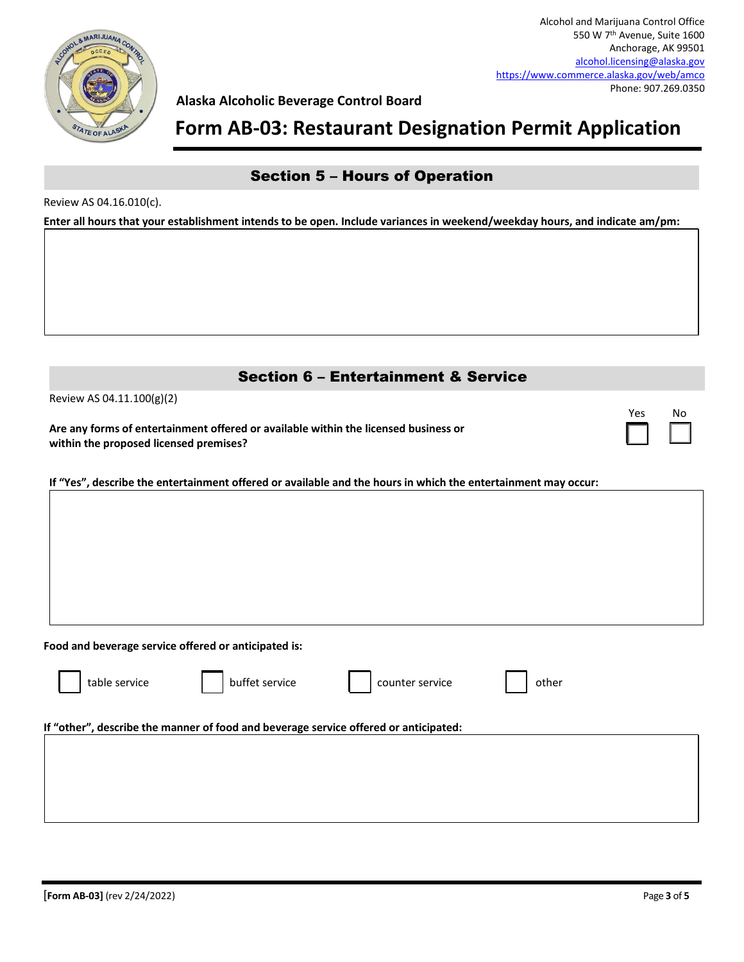

# **Form AB-03: Restaurant Designation Permit Application**

## Section 5 – Hours of Operation

Review AS 04.16.010(c).

**Enter all hours that your establishment intends to be open. Include variances in weekend/weekday hours, and indicate am/pm:** 

| <b>Section 6 - Entertainment &amp; Service</b>                                                                                |     |    |
|-------------------------------------------------------------------------------------------------------------------------------|-----|----|
| Review AS 04.11.100(g)(2)                                                                                                     | Yes | No |
| Are any forms of entertainment offered or available within the licensed business or<br>within the proposed licensed premises? |     |    |
| If "Yes", describe the entertainment offered or available and the hours in which the entertainment may occur:                 |     |    |
|                                                                                                                               |     |    |
|                                                                                                                               |     |    |
|                                                                                                                               |     |    |
|                                                                                                                               |     |    |
|                                                                                                                               |     |    |
| Food and beverage service offered or anticipated is:                                                                          |     |    |
| buffet service<br>table service<br>counter service<br>other                                                                   |     |    |
| If "other", describe the manner of food and beverage service offered or anticipated:                                          |     |    |
|                                                                                                                               |     |    |
|                                                                                                                               |     |    |
|                                                                                                                               |     |    |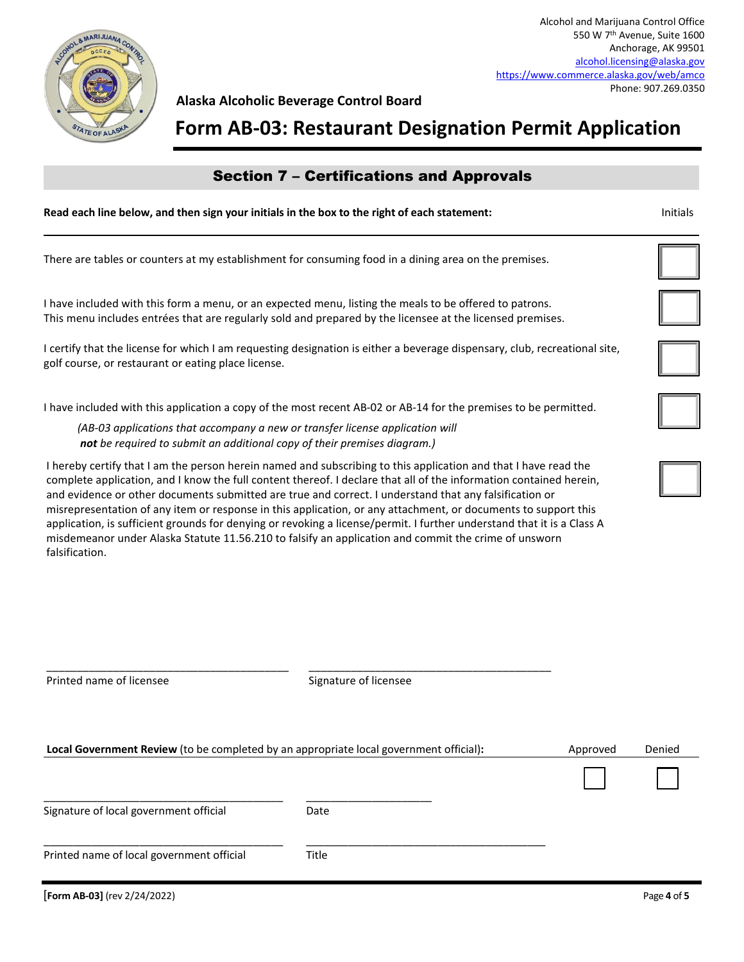

# **Form AB-03: Restaurant Designation Permit Application**

# **Read each line below, and then sign your initials in the box to the right of each statement:** Initials There are tables or counters at my establishment for consuming food in a dining area on the premises. I have included with this form a menu, or an expected menu, listing the meals to be offered to patrons. This menu includes entrées that are regularly sold and prepared by the licensee at the licensed premises. I certify that the license for which I am requesting designation is either a beverage dispensary, club, recreational site, golf course, or restaurant or eating place license. I have included with this application a copy of the most recent AB-02 or AB-14 for the premises to be permitted. *(AB-03 applications that accompany a new or transfer license application will not be required to submit an additional copy of their premises diagram.)* Section 7 – Certifications and Approvals I hereby certify that I am the person herein named and subscribing to this application and that I have read the complete application, and I know the full content thereof. I declare that all of the information contained herein, and evidence or other documents submitted are true and correct. I understand that any falsification or misrepresentation of any item or response in this application, or any attachment, or documents to support this application, is sufficient grounds for denying or revoking a license/permit. I further understand that it is a Class A misdemeanor under Alaska Statute 11.56.210 to falsify an application and commit the crime of unsworn falsification.

| Printed name of licensee                                                               | Signature of licensee |          |        |
|----------------------------------------------------------------------------------------|-----------------------|----------|--------|
| Local Government Review (to be completed by an appropriate local government official): |                       | Approved | Denied |
|                                                                                        |                       |          |        |
| Signature of local government official                                                 | Date                  |          |        |
| Printed name of local government official                                              | Title                 |          |        |